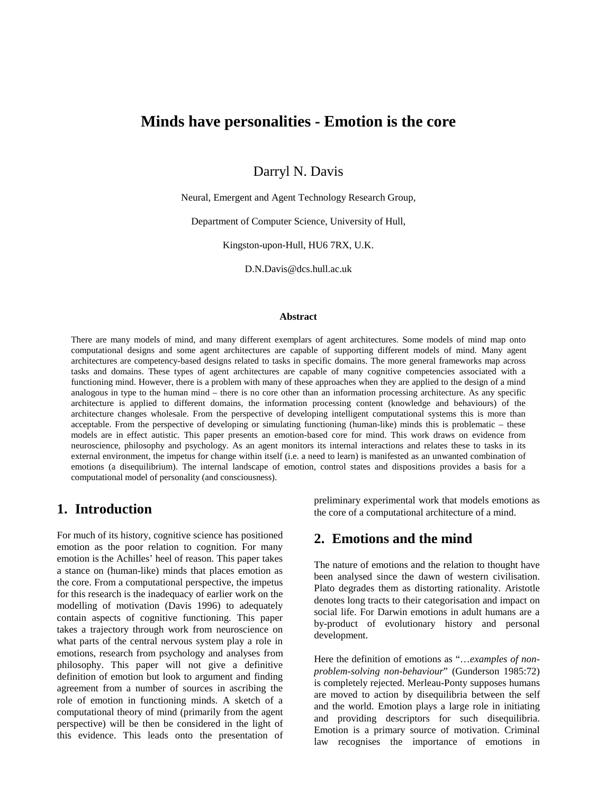## **Minds have personalities - Emotion is the core**

Darryl N. Davis

Neural, Emergent and Agent Technology Research Group,

Department of Computer Science, University of Hull,

Kingston-upon-Hull, HU6 7RX, U.K.

D.N.Davis@dcs.hull.ac.uk

#### **Abstract**

There are many models of mind, and many different exemplars of agent architectures. Some models of mind map onto computational designs and some agent architectures are capable of supporting different models of mind. Many agent architectures are competency-based designs related to tasks in specific domains. The more general frameworks map across tasks and domains. These types of agent architectures are capable of many cognitive competencies associated with a functioning mind. However, there is a problem with many of these approaches when they are applied to the design of a mind analogous in type to the human mind – there is no core other than an information processing architecture. As any specific architecture is applied to different domains, the information processing content (knowledge and behaviours) of the architecture changes wholesale. From the perspective of developing intelligent computational systems this is more than acceptable. From the perspective of developing or simulating functioning (human-like) minds this is problematic – these models are in effect autistic. This paper presents an emotion-based core for mind. This work draws on evidence from neuroscience, philosophy and psychology. As an agent monitors its internal interactions and relates these to tasks in its external environment, the impetus for change within itself (i.e. a need to learn) is manifested as an unwanted combination of emotions (a disequilibrium). The internal landscape of emotion, control states and dispositions provides a basis for a computational model of personality (and consciousness).

#### **1. Introduction**

For much of its history, cognitive science has positioned emotion as the poor relation to cognition. For many emotion is the Achilles' heel of reason. This paper takes a stance on (human-like) minds that places emotion as the core. From a computational perspective, the impetus for this research is the inadequacy of earlier work on the modelling of motivation (Davis 1996) to adequately contain aspects of cognitive functioning. This paper takes a trajectory through work from neuroscience on what parts of the central nervous system play a role in emotions, research from psychology and analyses from philosophy. This paper will not give a definitive definition of emotion but look to argument and finding agreement from a number of sources in ascribing the role of emotion in functioning minds. A sketch of a computational theory of mind (primarily from the agent perspective) will be then be considered in the light of this evidence. This leads onto the presentation of preliminary experimental work that models emotions as the core of a computational architecture of a mind.

#### **2. Emotions and the mind**

The nature of emotions and the relation to thought have been analysed since the dawn of western civilisation. Plato degrades them as distorting rationality. Aristotle denotes long tracts to their categorisation and impact on social life. For Darwin emotions in adult humans are a by-product of evolutionary history and personal development.

Here the definition of emotions as "…*examples of nonproblem-solving non-behaviour*" (Gunderson 1985:72) is completely rejected. Merleau-Ponty supposes humans are moved to action by disequilibria between the self and the world. Emotion plays a large role in initiating and providing descriptors for such disequilibria. Emotion is a primary source of motivation. Criminal law recognises the importance of emotions in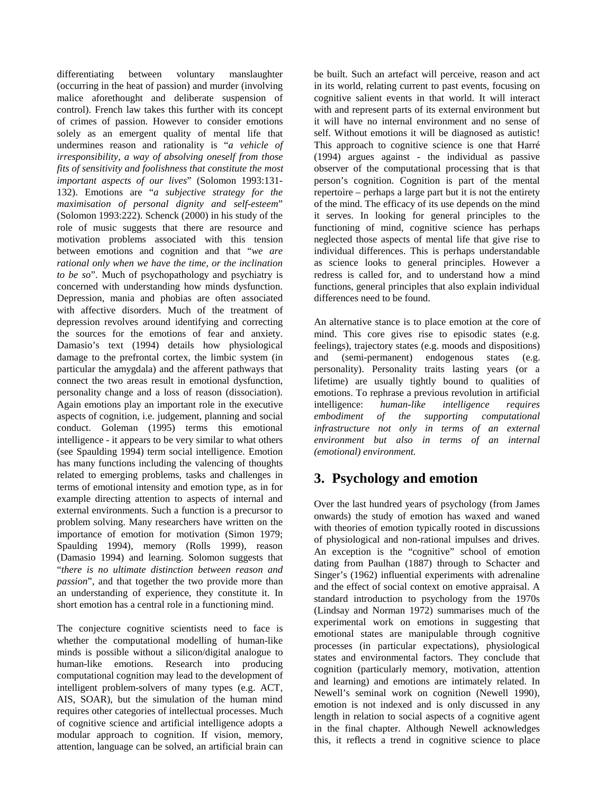differentiating between voluntary manslaughter (occurring in the heat of passion) and murder (involving malice aforethought and deliberate suspension of control). French law takes this further with its concept of crimes of passion. However to consider emotions solely as an emergent quality of mental life that undermines reason and rationality is "*a vehicle of irresponsibility, a way of absolving oneself from those fits of sensitivity and foolishness that constitute the most important aspects of our lives*" (Solomon 1993:131- 132). Emotions are "*a subjective strategy for the maximisation of personal dignity and self-esteem*" (Solomon 1993:222). Schenck (2000) in his study of the role of music suggests that there are resource and motivation problems associated with this tension between emotions and cognition and that "*we are rational only when we have the time, or the inclination to be so*". Much of psychopathology and psychiatry is concerned with understanding how minds dysfunction. Depression, mania and phobias are often associated with affective disorders. Much of the treatment of depression revolves around identifying and correcting the sources for the emotions of fear and anxiety. Damasio's text (1994) details how physiological damage to the prefrontal cortex, the limbic system (in particular the amygdala) and the afferent pathways that connect the two areas result in emotional dysfunction, personality change and a loss of reason (dissociation). Again emotions play an important role in the executive aspects of cognition, i.e. judgement, planning and social conduct. Goleman (1995) terms this emotional intelligence - it appears to be very similar to what others (see Spaulding 1994) term social intelligence. Emotion has many functions including the valencing of thoughts related to emerging problems, tasks and challenges in terms of emotional intensity and emotion type, as in for example directing attention to aspects of internal and external environments. Such a function is a precursor to problem solving. Many researchers have written on the importance of emotion for motivation (Simon 1979; Spaulding 1994), memory (Rolls 1999), reason (Damasio 1994) and learning. Solomon suggests that "*there is no ultimate distinction between reason and passion*", and that together the two provide more than an understanding of experience, they constitute it. In short emotion has a central role in a functioning mind.

The conjecture cognitive scientists need to face is whether the computational modelling of human-like minds is possible without a silicon/digital analogue to human-like emotions. Research into producing computational cognition may lead to the development of intelligent problem-solvers of many types (e.g. ACT, AIS, SOAR), but the simulation of the human mind requires other categories of intellectual processes. Much of cognitive science and artificial intelligence adopts a modular approach to cognition. If vision, memory, attention, language can be solved, an artificial brain can

be built. Such an artefact will perceive, reason and act in its world, relating current to past events, focusing on cognitive salient events in that world. It will interact with and represent parts of its external environment but it will have no internal environment and no sense of self. Without emotions it will be diagnosed as autistic! This approach to cognitive science is one that Harré (1994) argues against - the individual as passive observer of the computational processing that is that person's cognition. Cognition is part of the mental repertoire – perhaps a large part but it is not the entirety of the mind. The efficacy of its use depends on the mind it serves. In looking for general principles to the functioning of mind, cognitive science has perhaps neglected those aspects of mental life that give rise to individual differences. This is perhaps understandable as science looks to general principles. However a redress is called for, and to understand how a mind functions, general principles that also explain individual differences need to be found.

An alternative stance is to place emotion at the core of mind. This core gives rise to episodic states (e.g. feelings), trajectory states (e.g. moods and dispositions) and (semi-permanent) endogenous states (e.g. personality). Personality traits lasting years (or a lifetime) are usually tightly bound to qualities of emotions. To rephrase a previous revolution in artificial intelligence: *human-like intelligence requires embodiment of the supporting computational infrastructure not only in terms of an external environment but also in terms of an internal (emotional) environment.*

# **3. Psychology and emotion**

Over the last hundred years of psychology (from James onwards) the study of emotion has waxed and waned with theories of emotion typically rooted in discussions of physiological and non-rational impulses and drives. An exception is the "cognitive" school of emotion dating from Paulhan (1887) through to Schacter and Singer's (1962) influential experiments with adrenaline and the effect of social context on emotive appraisal. A standard introduction to psychology from the 1970s (Lindsay and Norman 1972) summarises much of the experimental work on emotions in suggesting that emotional states are manipulable through cognitive processes (in particular expectations), physiological states and environmental factors. They conclude that cognition (particularly memory, motivation, attention and learning) and emotions are intimately related. In Newell's seminal work on cognition (Newell 1990), emotion is not indexed and is only discussed in any length in relation to social aspects of a cognitive agent in the final chapter. Although Newell acknowledges this, it reflects a trend in cognitive science to place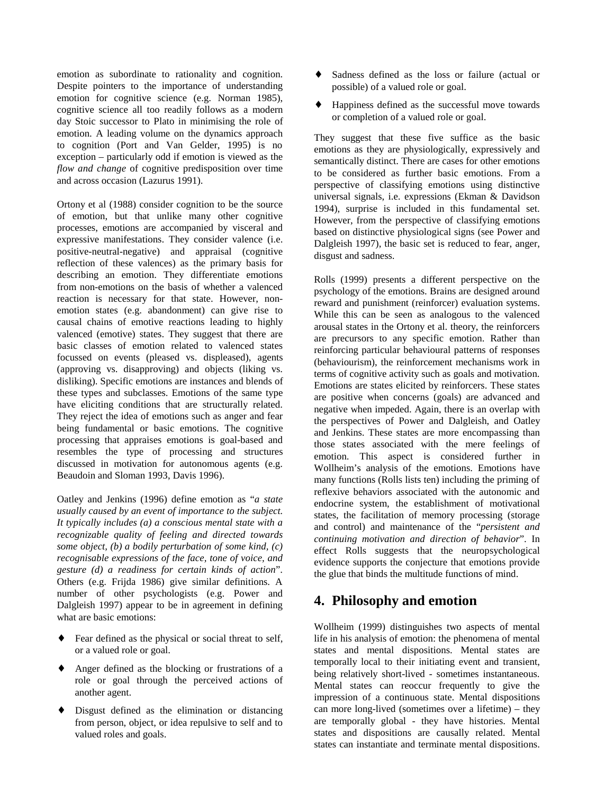emotion as subordinate to rationality and cognition. Despite pointers to the importance of understanding emotion for cognitive science (e.g. Norman 1985), cognitive science all too readily follows as a modern day Stoic successor to Plato in minimising the role of emotion. A leading volume on the dynamics approach to cognition (Port and Van Gelder, 1995) is no exception – particularly odd if emotion is viewed as the *flow and change* of cognitive predisposition over time and across occasion (Lazurus 1991).

Ortony et al (1988) consider cognition to be the source of emotion, but that unlike many other cognitive processes, emotions are accompanied by visceral and expressive manifestations. They consider valence (i.e. positive-neutral-negative) and appraisal (cognitive reflection of these valences) as the primary basis for describing an emotion. They differentiate emotions from non-emotions on the basis of whether a valenced reaction is necessary for that state. However, nonemotion states (e.g. abandonment) can give rise to causal chains of emotive reactions leading to highly valenced (emotive) states. They suggest that there are basic classes of emotion related to valenced states focussed on events (pleased vs. displeased), agents (approving vs. disapproving) and objects (liking vs. disliking). Specific emotions are instances and blends of these types and subclasses. Emotions of the same type have eliciting conditions that are structurally related. They reject the idea of emotions such as anger and fear being fundamental or basic emotions. The cognitive processing that appraises emotions is goal-based and resembles the type of processing and structures discussed in motivation for autonomous agents (e.g. Beaudoin and Sloman 1993, Davis 1996).

Oatley and Jenkins (1996) define emotion as "*a state usually caused by an event of importance to the subject. It typically includes (a) a conscious mental state with a recognizable quality of feeling and directed towards some object, (b) a bodily perturbation of some kind, (c) recognisable expressions of the face, tone of voice, and gesture (d) a readiness for certain kinds of action*". Others (e.g. Frijda 1986) give similar definitions. A number of other psychologists (e.g. Power and Dalgleish 1997) appear to be in agreement in defining what are basic emotions:

- ♦ Fear defined as the physical or social threat to self, or a valued role or goal.
- ♦ Anger defined as the blocking or frustrations of a role or goal through the perceived actions of another agent.
- ♦ Disgust defined as the elimination or distancing from person, object, or idea repulsive to self and to valued roles and goals.
- ♦ Sadness defined as the loss or failure (actual or possible) of a valued role or goal.
- ♦ Happiness defined as the successful move towards or completion of a valued role or goal.

They suggest that these five suffice as the basic emotions as they are physiologically, expressively and semantically distinct. There are cases for other emotions to be considered as further basic emotions. From a perspective of classifying emotions using distinctive universal signals, i.e. expressions (Ekman & Davidson 1994), surprise is included in this fundamental set. However, from the perspective of classifying emotions based on distinctive physiological signs (see Power and Dalgleish 1997), the basic set is reduced to fear, anger, disgust and sadness.

Rolls (1999) presents a different perspective on the psychology of the emotions. Brains are designed around reward and punishment (reinforcer) evaluation systems. While this can be seen as analogous to the valenced arousal states in the Ortony et al. theory, the reinforcers are precursors to any specific emotion. Rather than reinforcing particular behavioural patterns of responses (behaviourism), the reinforcement mechanisms work in terms of cognitive activity such as goals and motivation. Emotions are states elicited by reinforcers. These states are positive when concerns (goals) are advanced and negative when impeded. Again, there is an overlap with the perspectives of Power and Dalgleish, and Oatley and Jenkins. These states are more encompassing than those states associated with the mere feelings of emotion. This aspect is considered further in Wollheim's analysis of the emotions. Emotions have many functions (Rolls lists ten) including the priming of reflexive behaviors associated with the autonomic and endocrine system, the establishment of motivational states, the facilitation of memory processing (storage and control) and maintenance of the "*persistent and continuing motivation and direction of behavior*". In effect Rolls suggests that the neuropsychological evidence supports the conjecture that emotions provide the glue that binds the multitude functions of mind.

## **4. Philosophy and emotion**

Wollheim (1999) distinguishes two aspects of mental life in his analysis of emotion: the phenomena of mental states and mental dispositions. Mental states are temporally local to their initiating event and transient, being relatively short-lived - sometimes instantaneous. Mental states can reoccur frequently to give the impression of a continuous state. Mental dispositions can more long-lived (sometimes over a lifetime) – they are temporally global - they have histories. Mental states and dispositions are causally related. Mental states can instantiate and terminate mental dispositions.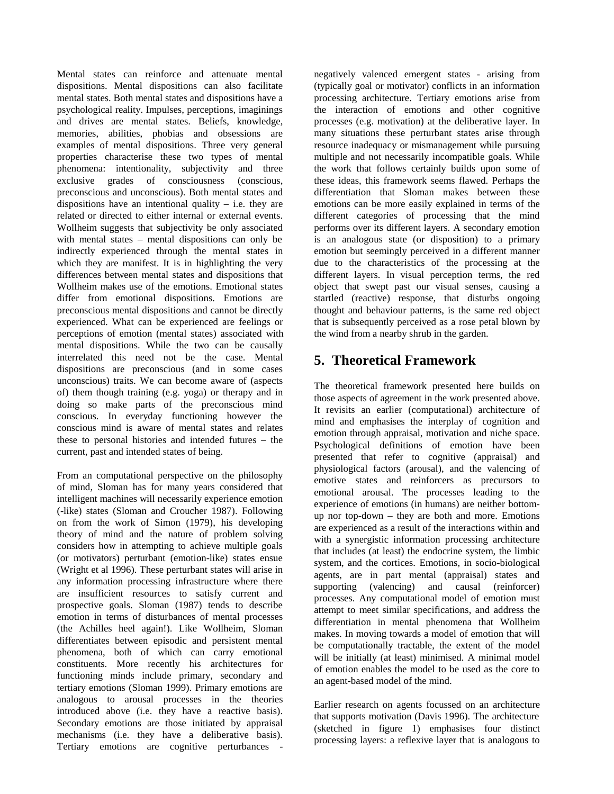Mental states can reinforce and attenuate mental dispositions. Mental dispositions can also facilitate mental states. Both mental states and dispositions have a psychological reality. Impulses, perceptions, imaginings and drives are mental states. Beliefs, knowledge, memories, abilities, phobias and obsessions are examples of mental dispositions. Three very general properties characterise these two types of mental phenomena: intentionality, subjectivity and three exclusive grades of consciousness (conscious, preconscious and unconscious). Both mental states and dispositions have an intentional quality  $-$  i.e. they are related or directed to either internal or external events. Wollheim suggests that subjectivity be only associated with mental states – mental dispositions can only be indirectly experienced through the mental states in which they are manifest. It is in highlighting the very differences between mental states and dispositions that Wollheim makes use of the emotions. Emotional states differ from emotional dispositions. Emotions are preconscious mental dispositions and cannot be directly experienced. What can be experienced are feelings or perceptions of emotion (mental states) associated with mental dispositions. While the two can be causally interrelated this need not be the case. Mental dispositions are preconscious (and in some cases unconscious) traits. We can become aware of (aspects of) them though training (e.g. yoga) or therapy and in doing so make parts of the preconscious mind conscious. In everyday functioning however the conscious mind is aware of mental states and relates these to personal histories and intended futures – the current, past and intended states of being.

From an computational perspective on the philosophy of mind, Sloman has for many years considered that intelligent machines will necessarily experience emotion (-like) states (Sloman and Croucher 1987). Following on from the work of Simon (1979), his developing theory of mind and the nature of problem solving considers how in attempting to achieve multiple goals (or motivators) perturbant (emotion-like) states ensue (Wright et al 1996). These perturbant states will arise in any information processing infrastructure where there are insufficient resources to satisfy current and prospective goals. Sloman (1987) tends to describe emotion in terms of disturbances of mental processes (the Achilles heel again!). Like Wollheim, Sloman differentiates between episodic and persistent mental phenomena, both of which can carry emotional constituents. More recently his architectures for functioning minds include primary, secondary and tertiary emotions (Sloman 1999). Primary emotions are analogous to arousal processes in the theories introduced above (i.e. they have a reactive basis). Secondary emotions are those initiated by appraisal mechanisms (i.e. they have a deliberative basis). Tertiary emotions are cognitive perturbances -

negatively valenced emergent states - arising from (typically goal or motivator) conflicts in an information processing architecture. Tertiary emotions arise from the interaction of emotions and other cognitive processes (e.g. motivation) at the deliberative layer. In many situations these perturbant states arise through resource inadequacy or mismanagement while pursuing multiple and not necessarily incompatible goals. While the work that follows certainly builds upon some of these ideas, this framework seems flawed. Perhaps the differentiation that Sloman makes between these emotions can be more easily explained in terms of the different categories of processing that the mind performs over its different layers. A secondary emotion is an analogous state (or disposition) to a primary emotion but seemingly perceived in a different manner due to the characteristics of the processing at the different layers. In visual perception terms, the red object that swept past our visual senses, causing a startled (reactive) response, that disturbs ongoing thought and behaviour patterns, is the same red object that is subsequently perceived as a rose petal blown by the wind from a nearby shrub in the garden.

# **5. Theoretical Framework**

The theoretical framework presented here builds on those aspects of agreement in the work presented above. It revisits an earlier (computational) architecture of mind and emphasises the interplay of cognition and emotion through appraisal, motivation and niche space. Psychological definitions of emotion have been presented that refer to cognitive (appraisal) and physiological factors (arousal), and the valencing of emotive states and reinforcers as precursors to emotional arousal. The processes leading to the experience of emotions (in humans) are neither bottomup nor top-down – they are both and more. Emotions are experienced as a result of the interactions within and with a synergistic information processing architecture that includes (at least) the endocrine system, the limbic system, and the cortices. Emotions, in socio-biological agents, are in part mental (appraisal) states and supporting (valencing) and causal (reinforcer) processes. Any computational model of emotion must attempt to meet similar specifications, and address the differentiation in mental phenomena that Wollheim makes. In moving towards a model of emotion that will be computationally tractable, the extent of the model will be initially (at least) minimised. A minimal model of emotion enables the model to be used as the core to an agent-based model of the mind.

Earlier research on agents focussed on an architecture that supports motivation (Davis 1996). The architecture (sketched in figure 1) emphasises four distinct processing layers: a reflexive layer that is analogous to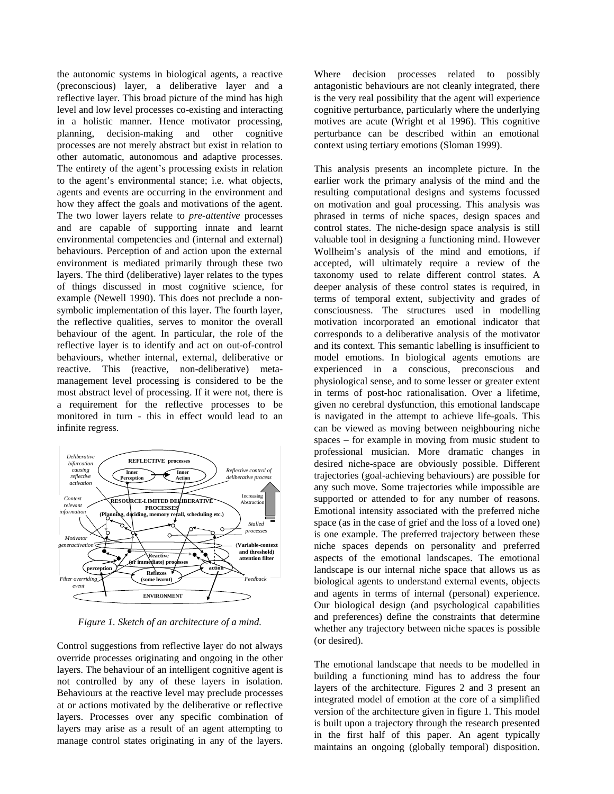the autonomic systems in biological agents, a reactive (preconscious) layer, a deliberative layer and a reflective layer. This broad picture of the mind has high level and low level processes co-existing and interacting in a holistic manner. Hence motivator processing, planning, decision-making and other cognitive processes are not merely abstract but exist in relation to other automatic, autonomous and adaptive processes. The entirety of the agent's processing exists in relation to the agent's environmental stance; i.e. what objects, agents and events are occurring in the environment and how they affect the goals and motivations of the agent. The two lower layers relate to *pre-attentive* processes and are capable of supporting innate and learnt environmental competencies and (internal and external) behaviours. Perception of and action upon the external environment is mediated primarily through these two layers. The third (deliberative) layer relates to the types of things discussed in most cognitive science, for example (Newell 1990). This does not preclude a nonsymbolic implementation of this layer. The fourth layer, the reflective qualities, serves to monitor the overall behaviour of the agent. In particular, the role of the reflective layer is to identify and act on out-of-control behaviours, whether internal, external, deliberative or reactive. This (reactive, non-deliberative) metamanagement level processing is considered to be the most abstract level of processing. If it were not, there is a requirement for the reflective processes to be monitored in turn - this in effect would lead to an infinite regress.



*Figure 1. Sketch of an architecture of a mind.*

Control suggestions from reflective layer do not always override processes originating and ongoing in the other layers. The behaviour of an intelligent cognitive agent is not controlled by any of these layers in isolation. Behaviours at the reactive level may preclude processes at or actions motivated by the deliberative or reflective layers. Processes over any specific combination of layers may arise as a result of an agent attempting to manage control states originating in any of the layers.

Where decision processes related to possibly antagonistic behaviours are not cleanly integrated, there is the very real possibility that the agent will experience cognitive perturbance, particularly where the underlying motives are acute (Wright et al 1996). This cognitive perturbance can be described within an emotional context using tertiary emotions (Sloman 1999).

This analysis presents an incomplete picture. In the earlier work the primary analysis of the mind and the resulting computational designs and systems focussed on motivation and goal processing. This analysis was phrased in terms of niche spaces, design spaces and control states. The niche-design space analysis is still valuable tool in designing a functioning mind. However Wollheim's analysis of the mind and emotions, if accepted, will ultimately require a review of the taxonomy used to relate different control states. A deeper analysis of these control states is required, in terms of temporal extent, subjectivity and grades of consciousness. The structures used in modelling motivation incorporated an emotional indicator that corresponds to a deliberative analysis of the motivator and its context. This semantic labelling is insufficient to model emotions. In biological agents emotions are experienced in a conscious, preconscious and physiological sense, and to some lesser or greater extent in terms of post-hoc rationalisation. Over a lifetime, given no cerebral dysfunction, this emotional landscape is navigated in the attempt to achieve life-goals. This can be viewed as moving between neighbouring niche spaces – for example in moving from music student to professional musician. More dramatic changes in desired niche-space are obviously possible. Different trajectories (goal-achieving behaviours) are possible for any such move. Some trajectories while impossible are supported or attended to for any number of reasons. Emotional intensity associated with the preferred niche space (as in the case of grief and the loss of a loved one) is one example. The preferred trajectory between these niche spaces depends on personality and preferred aspects of the emotional landscapes. The emotional landscape is our internal niche space that allows us as biological agents to understand external events, objects and agents in terms of internal (personal) experience. Our biological design (and psychological capabilities and preferences) define the constraints that determine whether any trajectory between niche spaces is possible (or desired).

The emotional landscape that needs to be modelled in building a functioning mind has to address the four layers of the architecture. Figures 2 and 3 present an integrated model of emotion at the core of a simplified version of the architecture given in figure 1. This model is built upon a trajectory through the research presented in the first half of this paper. An agent typically maintains an ongoing (globally temporal) disposition.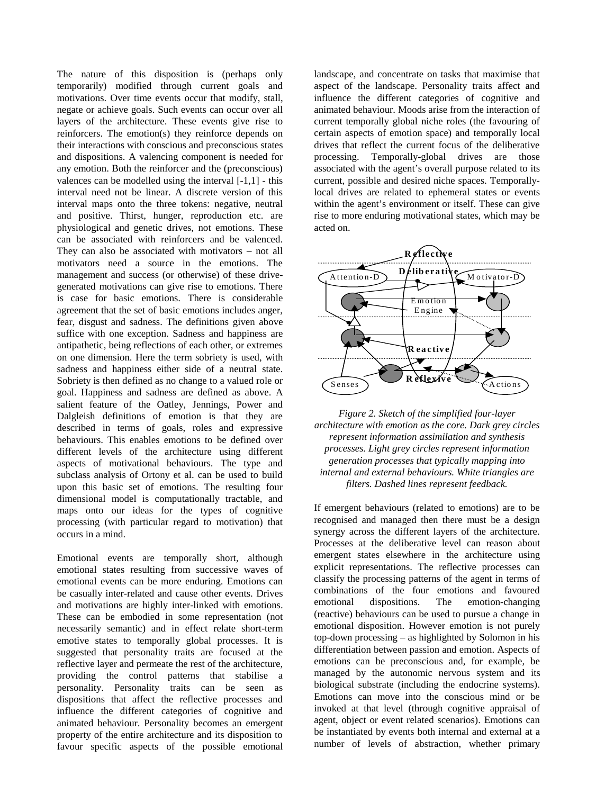The nature of this disposition is (perhaps only temporarily) modified through current goals and motivations. Over time events occur that modify, stall, negate or achieve goals. Such events can occur over all layers of the architecture. These events give rise to reinforcers. The emotion(s) they reinforce depends on their interactions with conscious and preconscious states and dispositions. A valencing component is needed for any emotion. Both the reinforcer and the (preconscious) valences can be modelled using the interval [-1,1] - this interval need not be linear. A discrete version of this interval maps onto the three tokens: negative, neutral and positive. Thirst, hunger, reproduction etc. are physiological and genetic drives, not emotions. These can be associated with reinforcers and be valenced. They can also be associated with motivators – not all motivators need a source in the emotions. The management and success (or otherwise) of these drivegenerated motivations can give rise to emotions. There is case for basic emotions. There is considerable agreement that the set of basic emotions includes anger, fear, disgust and sadness. The definitions given above suffice with one exception. Sadness and happiness are antipathetic, being reflections of each other, or extremes on one dimension. Here the term sobriety is used, with sadness and happiness either side of a neutral state. Sobriety is then defined as no change to a valued role or goal. Happiness and sadness are defined as above. A salient feature of the Oatley, Jennings, Power and Dalgleish definitions of emotion is that they are described in terms of goals, roles and expressive behaviours. This enables emotions to be defined over different levels of the architecture using different aspects of motivational behaviours. The type and subclass analysis of Ortony et al. can be used to build upon this basic set of emotions. The resulting four dimensional model is computationally tractable, and maps onto our ideas for the types of cognitive processing (with particular regard to motivation) that occurs in a mind.

Emotional events are temporally short, although emotional states resulting from successive waves of emotional events can be more enduring. Emotions can be casually inter-related and cause other events. Drives and motivations are highly inter-linked with emotions. These can be embodied in some representation (not necessarily semantic) and in effect relate short-term emotive states to temporally global processes. It is suggested that personality traits are focused at the reflective layer and permeate the rest of the architecture, providing the control patterns that stabilise a personality. Personality traits can be seen as dispositions that affect the reflective processes and influence the different categories of cognitive and animated behaviour. Personality becomes an emergent property of the entire architecture and its disposition to favour specific aspects of the possible emotional

landscape, and concentrate on tasks that maximise that aspect of the landscape. Personality traits affect and influence the different categories of cognitive and animated behaviour. Moods arise from the interaction of current temporally global niche roles (the favouring of certain aspects of emotion space) and temporally local drives that reflect the current focus of the deliberative processing. Temporally-global drives are those associated with the agent's overall purpose related to its current, possible and desired niche spaces. Temporallylocal drives are related to ephemeral states or events within the agent's environment or itself. These can give rise to more enduring motivational states, which may be acted on.



*Figure 2. Sketch of the simplified four-layer architecture with emotion as the core. Dark grey circles represent information assimilation and synthesis processes. Light grey circles represent information generation processes that typically mapping into internal and external behaviours. White triangles are filters. Dashed lines represent feedback.*

If emergent behaviours (related to emotions) are to be recognised and managed then there must be a design synergy across the different layers of the architecture. Processes at the deliberative level can reason about emergent states elsewhere in the architecture using explicit representations. The reflective processes can classify the processing patterns of the agent in terms of combinations of the four emotions and favoured emotional dispositions. The emotion-changing (reactive) behaviours can be used to pursue a change in emotional disposition. However emotion is not purely top-down processing – as highlighted by Solomon in his differentiation between passion and emotion. Aspects of emotions can be preconscious and, for example, be managed by the autonomic nervous system and its biological substrate (including the endocrine systems). Emotions can move into the conscious mind or be invoked at that level (through cognitive appraisal of agent, object or event related scenarios). Emotions can be instantiated by events both internal and external at a number of levels of abstraction, whether primary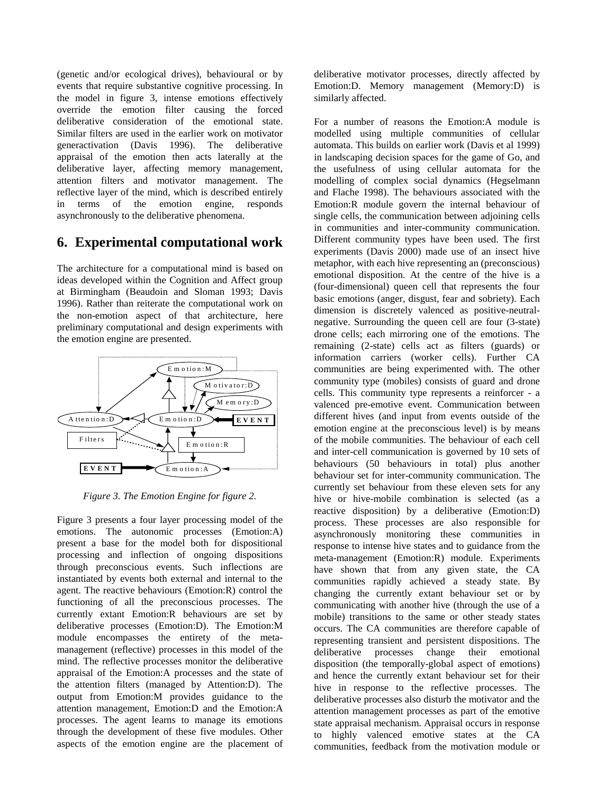(genetic and/or ecological drives), behavioural or by events that require substantive cognitive processing. In the model in figure 3, intense emotions effectively override the emotion filter causing the forced deliberative consideration of the emotional state. Similar filters are used in the earlier work on motivator generactivation (Davis 1996). The deliberative appraisal of the emotion then acts laterally at the deliberative layer, affecting memory management, attention filters and motivator management. The reflective layer of the mind, which is described entirely in terms of the emotion engine, responds asynchronously to the deliberative phenomena.

## **6. Experimental computational work**

The architecture for a computational mind is based on ideas developed within the Cognition and Affect group at Birmingham (Beaudoin and Sloman 1993; Davis 1996). Rather than reiterate the computational work on the non-emotion aspect of that architecture, here preliminary computational and design experiments with the emotion engine are presented.



*Figure 3. The Emotion Engine for figure 2.*

Figure 3 presents a four layer processing model of the emotions. The autonomic processes (Emotion:A) present a base for the model both for dispositional processing and inflection of ongoing dispositions through preconscious events. Such inflections are instantiated by events both external and internal to the agent. The reactive behaviours (Emotion:R) control the functioning of all the preconscious processes. The currently extant Emotion:R behaviours are set by deliberative processes (Emotion:D). The Emotion:M module encompasses the entirety of the metamanagement (reflective) processes in this model of the mind. The reflective processes monitor the deliberative appraisal of the Emotion:A processes and the state of the attention filters (managed by Attention:D). The output from Emotion:M provides guidance to the attention management, Emotion:D and the Emotion:A processes. The agent learns to manage its emotions through the development of these five modules. Other aspects of the emotion engine are the placement of

deliberative motivator processes, directly affected by Emotion:D. Memory management (Memory:D) is similarly affected.

For a number of reasons the Emotion:A module is modelled using multiple communities of cellular automata. This builds on earlier work (Davis et al 1999) in landscaping decision spaces for the game of Go, and the usefulness of using cellular automata for the modelling of complex social dynamics (Hegselmann and Flache 1998). The behaviours associated with the Emotion:R module govern the internal behaviour of single cells, the communication between adjoining cells in communities and inter-community communication. Different community types have been used. The first experiments (Davis 2000) made use of an insect hive metaphor, with each hive representing an (preconscious) emotional disposition. At the centre of the hive is a (four-dimensional) queen cell that represents the four basic emotions (anger, disgust, fear and sobriety). Each dimension is discretely valenced as positive-neutralnegative. Surrounding the queen cell are four (3-state) drone cells; each mirroring one of the emotions. The remaining (2-state) cells act as filters (guards) or information carriers (worker cells). Further CA communities are being experimented with. The other community type (mobiles) consists of guard and drone cells. This community type represents a reinforcer - a valenced pre-emotive event. Communication between different hives (and input from events outside of the emotion engine at the preconscious level) is by means of the mobile communities. The behaviour of each cell and inter-cell communication is governed by 10 sets of behaviours (50 behaviours in total) plus another behaviour set for inter-community communication. The currently set behaviour from these eleven sets for any hive or hive-mobile combination is selected (as a reactive disposition) by a deliberative (Emotion:D) process. These processes are also responsible for asynchronously monitoring these communities in response to intense hive states and to guidance from the meta-management (Emotion:R) module. Experiments have shown that from any given state, the CA communities rapidly achieved a steady state. By changing the currently extant behaviour set or by communicating with another hive (through the use of a mobile) transitions to the same or other steady states occurs. The CA communities are therefore capable of representing transient and persistent dispositions. The deliberative processes change their emotional disposition (the temporally-global aspect of emotions) and hence the currently extant behaviour set for their hive in response to the reflective processes. The deliberative processes also disturb the motivator and the attention management processes as part of the emotive state appraisal mechanism. Appraisal occurs in response to highly valenced emotive states at the CA communities, feedback from the motivation module or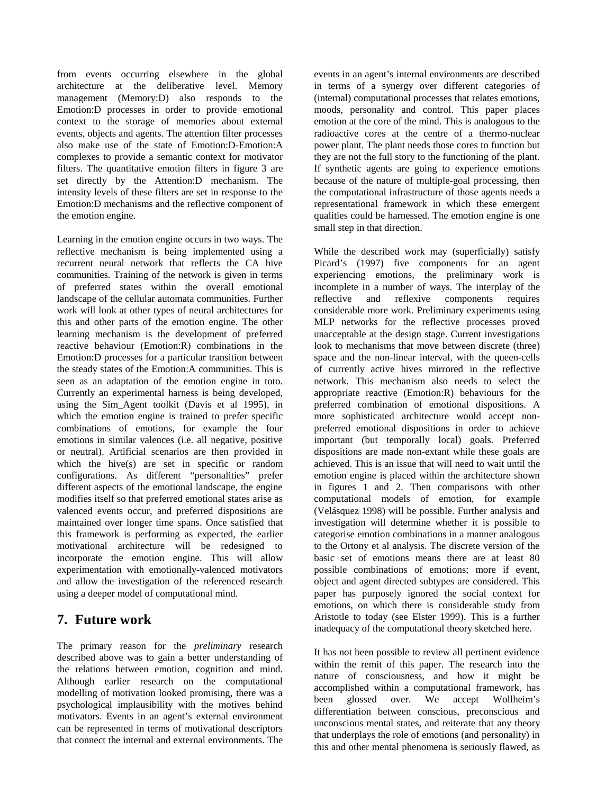from events occurring elsewhere in the global architecture at the deliberative level. Memory management (Memory:D) also responds to the Emotion:D processes in order to provide emotional context to the storage of memories about external events, objects and agents. The attention filter processes also make use of the state of Emotion:D-Emotion:A complexes to provide a semantic context for motivator filters. The quantitative emotion filters in figure 3 are set directly by the Attention:D mechanism. The intensity levels of these filters are set in response to the Emotion:D mechanisms and the reflective component of the emotion engine.

Learning in the emotion engine occurs in two ways. The reflective mechanism is being implemented using a recurrent neural network that reflects the CA hive communities. Training of the network is given in terms of preferred states within the overall emotional landscape of the cellular automata communities. Further work will look at other types of neural architectures for this and other parts of the emotion engine. The other learning mechanism is the development of preferred reactive behaviour (Emotion:R) combinations in the Emotion:D processes for a particular transition between the steady states of the Emotion:A communities. This is seen as an adaptation of the emotion engine in toto. Currently an experimental harness is being developed, using the Sim\_Agent toolkit (Davis et al 1995), in which the emotion engine is trained to prefer specific combinations of emotions, for example the four emotions in similar valences (i.e. all negative, positive or neutral). Artificial scenarios are then provided in which the hive(s) are set in specific or random configurations. As different "personalities" prefer different aspects of the emotional landscape, the engine modifies itself so that preferred emotional states arise as valenced events occur, and preferred dispositions are maintained over longer time spans. Once satisfied that this framework is performing as expected, the earlier motivational architecture will be redesigned to incorporate the emotion engine. This will allow experimentation with emotionally-valenced motivators and allow the investigation of the referenced research using a deeper model of computational mind.

## **7. Future work**

The primary reason for the *preliminary* research described above was to gain a better understanding of the relations between emotion, cognition and mind. Although earlier research on the computational modelling of motivation looked promising, there was a psychological implausibility with the motives behind motivators. Events in an agent's external environment can be represented in terms of motivational descriptors that connect the internal and external environments. The events in an agent's internal environments are described in terms of a synergy over different categories of (internal) computational processes that relates emotions, moods, personality and control. This paper places emotion at the core of the mind. This is analogous to the radioactive cores at the centre of a thermo-nuclear power plant. The plant needs those cores to function but they are not the full story to the functioning of the plant. If synthetic agents are going to experience emotions because of the nature of multiple-goal processing, then the computational infrastructure of those agents needs a representational framework in which these emergent qualities could be harnessed. The emotion engine is one small step in that direction.

While the described work may (superficially) satisfy Picard's (1997) five components for an agent experiencing emotions, the preliminary work is incomplete in a number of ways. The interplay of the reflective and reflexive components requires considerable more work. Preliminary experiments using MLP networks for the reflective processes proved unacceptable at the design stage. Current investigations look to mechanisms that move between discrete (three) space and the non-linear interval, with the queen-cells of currently active hives mirrored in the reflective network. This mechanism also needs to select the appropriate reactive (Emotion:R) behaviours for the preferred combination of emotional dispositions. A more sophisticated architecture would accept nonpreferred emotional dispositions in order to achieve important (but temporally local) goals. Preferred dispositions are made non-extant while these goals are achieved. This is an issue that will need to wait until the emotion engine is placed within the architecture shown in figures 1 and 2. Then comparisons with other computational models of emotion, for example (Velásquez 1998) will be possible. Further analysis and investigation will determine whether it is possible to categorise emotion combinations in a manner analogous to the Ortony et al analysis. The discrete version of the basic set of emotions means there are at least 80 possible combinations of emotions; more if event, object and agent directed subtypes are considered. This paper has purposely ignored the social context for emotions, on which there is considerable study from Aristotle to today (see Elster 1999). This is a further inadequacy of the computational theory sketched here.

It has not been possible to review all pertinent evidence within the remit of this paper. The research into the nature of consciousness, and how it might be accomplished within a computational framework, has been glossed over. We accept Wollheim's differentiation between conscious, preconscious and unconscious mental states, and reiterate that any theory that underplays the role of emotions (and personality) in this and other mental phenomena is seriously flawed, as